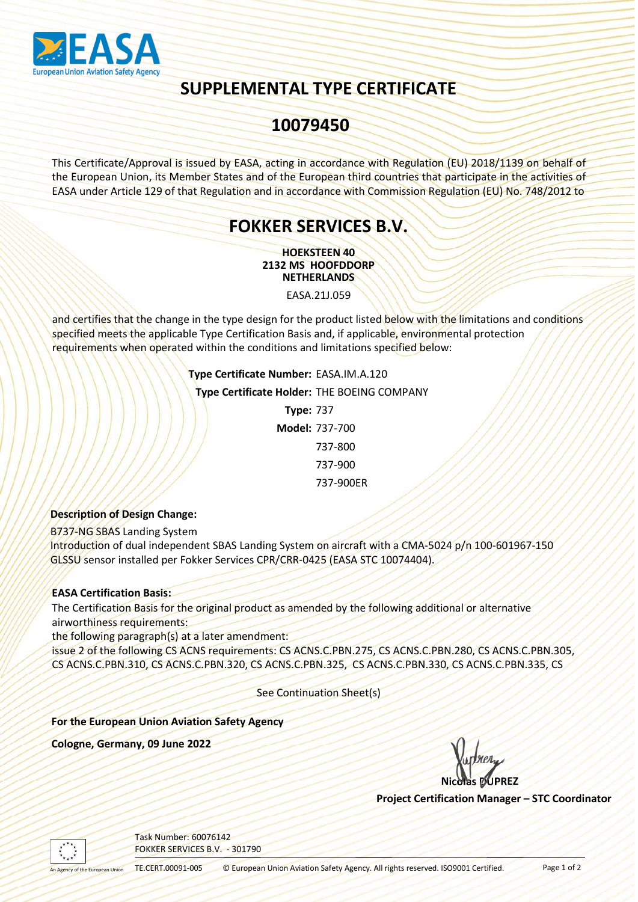

# SUPPLEMENTAL TYPE CERTIFICATE

## 10079450

This Certificate/Approval is issued by EASA, acting in accordance with Regulation (EU) 2018/1139 on behalf of the European Union, its Member States and of the European third countries that participate in the activities of EASA under Article 129 of that Regulation and in accordance with Commission Regulation (EU) No. 748/2012 to

## FOKKER SERVICES B.V.

HOEKSTEEN 40 2132 MS HOOFDDORP NETHERLANDS

EASA.21J.059

and certifies that the change in the type design for the product listed below with the limitations and conditions specified meets the applicable Type Certification Basis and, if applicable, environmental protection requirements when operated within the conditions and limitations specified below:

> Type Certificate Number: EASA.IM.A.120 Type Certificate Holder: THE BOEING COMPANY Type: 737 Model: 737-700

> > 737-800 737-900 737-900ER

#### Description of Design Change:

B737-NG SBAS Landing System

737-900ER<br>
Pescription of Design Change:<br>
F3737-NG SBAS Landing System<br>
Introduction of dual independent SBAS Landing System on aircraft with a CMA-5024 p/n 100-<br>
GISS0 sensor installed per Fokker Services CPR/CRR-0425 (EA Introduction of dual independent SBAS Landing System on aircraft with a CMA-5024 p/n 100-601967-150 GLSSU sensor installed per Fokker Services CPR/CRR-0425 (EASA STC 10074404).

#### EASA Certification Basis:

The Certification Basis for the original product as amended by the following additional or alternative airworthiness requirements:

the following paragraph(s) at a later amendment:

The Certification Basis for the original product as amended by the following additional or alternative<br>
airworthiness requirements:<br>
the following paragraph(s) at alater amendment:<br>
ISSUE 2 of the following CS ACNS.C.PBN.3 issue 2 of the following CS ACNS requirements: CS ACNS.C.PBN.275, CS ACNS.C.PBN.280, CS ACNS.C.PBN.305, CS ACNS.C.PBN.310, CS ACNS.C.PBN.320, CS ACNS.C.PBN.325, CS ACNS.C.PBN.330, CS ACNS.C.PBN.335, CS

See Continuation Sheet(s)

For the European Union Aviation Safety Agency

Nicolas DUPREZ

Project Certification Manager – STC Coordinator



Task Number: 60076142 FOKKER SERVICES B.V. - 301790